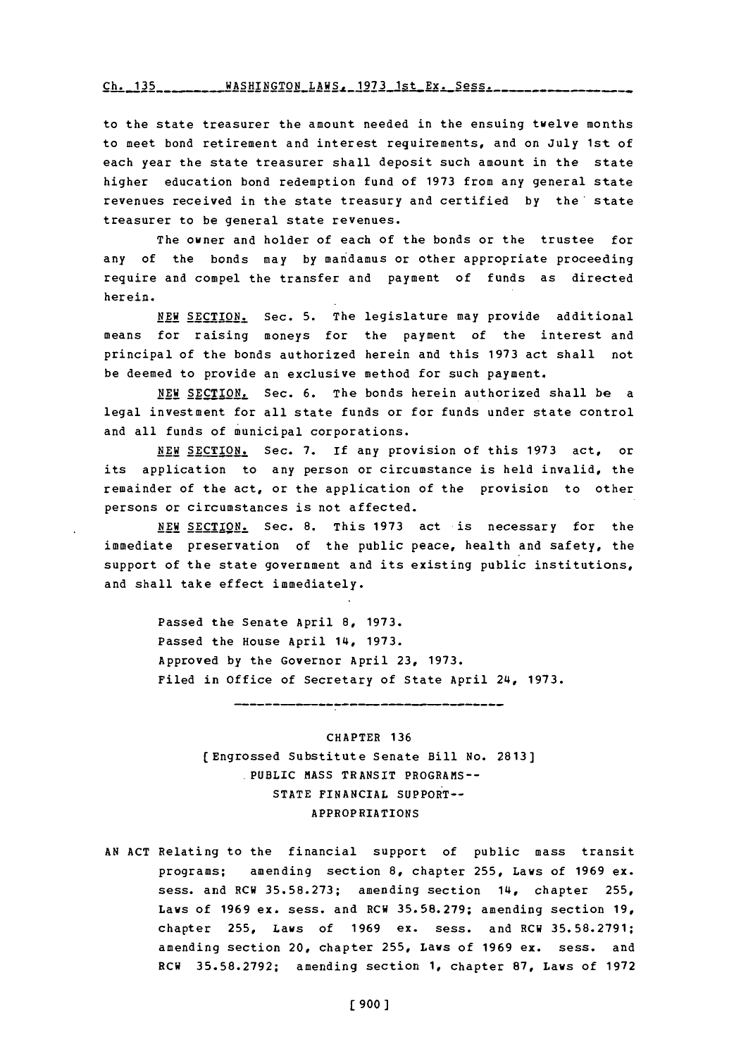## Ch. 135- **WASHINGTON LAWS, 1973** 1st Ex. Sess.

to the state treasurer the amount needed in the ensuing twelve months to meet bond retirement and interest requirements, and on July 1st of each year the state treasurer shall deposit such amount in the state higher education bond redemption fund of **1973** from any general state revenues received in the state treasury and certified **by** the' state treasurer to be general state revenues.

The owner and holder of each of the bonds or the trustee for any of the bonds may **by** man damus or other appropriate proceeding require and compel the transfer and payment of funds as directed herein.

**NEW** SECTION. Sec. **5.** The legislature may provide additional means for raising moneys for the payment of the interest and principal of the bonds authorized herein and this **1973** act shall not be deemed to provide an exclusive method for such payment.

**NEW SECTION.** Sec. **6.** The bonds herein authorized shall be a legal investment for all state funds or for funds under state control and all funds of municipal corporations.

**NEW SECTION.** Sec. **7.** If any provision of this **1973** act, or its application to any person or circumstance is held invalid, the remainder of the act, or the application of the provision to other persons or circumstances is not affected.

**NEW** SECTION. Sec. **8.** This **1973** act is necessary for the immediate preservation of the public peace, health and safety, the support of the state government and its existing public institutions, and shall take effect immediately.

> Passed the Senate April **8, 1973.** Passed the House April 14, **1973.** Approved **by** the Governor April **23, 1973.** Filed in office of Secretary of State April 24, **1973.**

> > CHAPTER **136** (Engrossed substitute Senate Bill No. **2813] PUBLIC MASS TRANSIT PROGRAMS--STATE** FINANCIAL SUPPORT-APPROPRIATIONS

-------------------------------------

**AN ACT** Relating to the financial support of public mass transit programs; amending section **8,** chapter **255,** Laws of **1969** ex. sess. and RCW **35.58.273;** amending section 14, chapter **255,** Laws of **1969** ex. sess. and RCW **35.58.279;** amending section **19,** chapter **255,** Laws of **1969** ex. sess. and RCW **35.58.2791;** amending section 20, chapter **255,** Laws of **1969 ex.** sess. and RCW **35.58.2792;** amending section **1,** chapter **87,** Laws of **1972**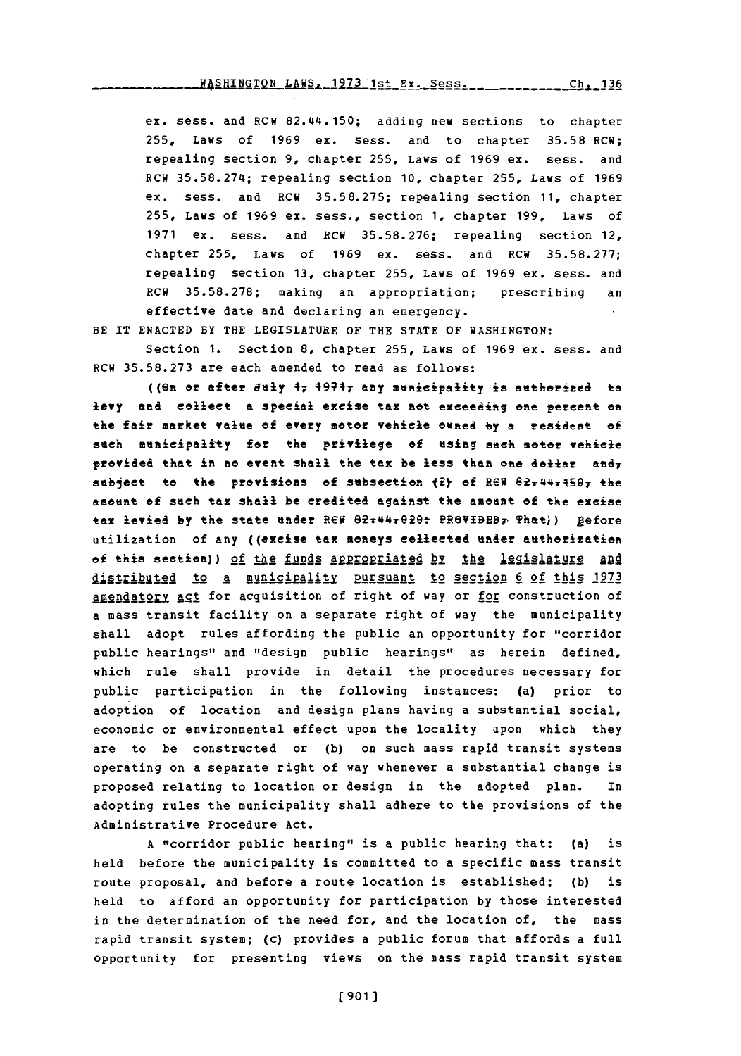ex. sess. and RCW 82.44.150; adding new sections to chapter **255,** Laws of **1969** ex. sess. and to chapter **35.58** RCW; repealing section **9,** chapter **255,** Laws of **1969** ex. sess. and RCW **35.58.274;** repealing section **10,** chapter **255,** Laws of **1969** ex. sess. and RCW **35.58.275;** repealing section **11,** chapter **255,** Laws of **1969** ex. sess., section **1,** chapter **199,** Laws of **1971** ex. sess. and RCW **35.58.276;** repealing section 12, chapter **255,** Laws of **1969** ex. sess. and RCW **35.58.277;** repealing section **13,** chapter **255,** Laws of **1969** ex. sess. and RCW **35.58.278;** making an appropriation; prescribing an effective date and declaring an emergency.

BE IT **ENACTED** BY THE LEGISLATURE OF THE **STATE** OF WASHINGTON:

Section **1.** Section **8,** chapter **255.** Laws of **1969** ex. sess. and RCW **35.58.273** are each amended to read as follows:

(( $\theta$ n or after *duly*  $\theta$ <sub>7</sub>  $\theta$ 974<sub>7</sub> any municipality is authorized to levy and collect a special excise tax not exceeding one percent on the fair market value of every motor vehicle owned by a resident of such municipality for the privilege of using such motor vehicle provided that in no event shall the tax be less than one dollar andy subject to the provisions of subsection (2) of REW 82x44x450x the amount of such tax shall be credited against the amount of the excise tax levied by the state under REW 82<del>.44.020:</del> PROVIBEB<sub>P</sub> That)) Before utilization of any ((excise tax moneys cellected under authorization of this section)) of the funds appropriated by the legislature and distributed to a municipality pursuant to section 6 of this 1973 amendatory act for acquisition of right of way or for construction of a mass transit facility on a separate right of way the municipality shall adopt rules affording the public an opportunity for "corridor public hearings" and "design public hearings" as herein defined, which rule shall provide in detail the procedures necessary for public participation in the following instances: (a) prior to adoption of location and design plans having a substantial social, economic or environmental effect upon the locality upon which they are to be constructed or **(b)** on such mass rapid transit systems operating on a separate right of way whenever a substantial change is proposed relating to location or design in the adopted plan. In adopting rules the municipality shall adhere to the provisions of the Administrative Procedure Act.

**A** "corridor public hearing" is a public hearing that: (a) is held before the municipality is committed to a specific mass transit route proposal, and before a route location is established; **(b)** is held to afford an opportunity for participation **by** those interested in the determination of the need for, and the location of, the mass rapid transit system; (c) provides a public forum that affords a full opportunity for presenting views on the mass rapid transit system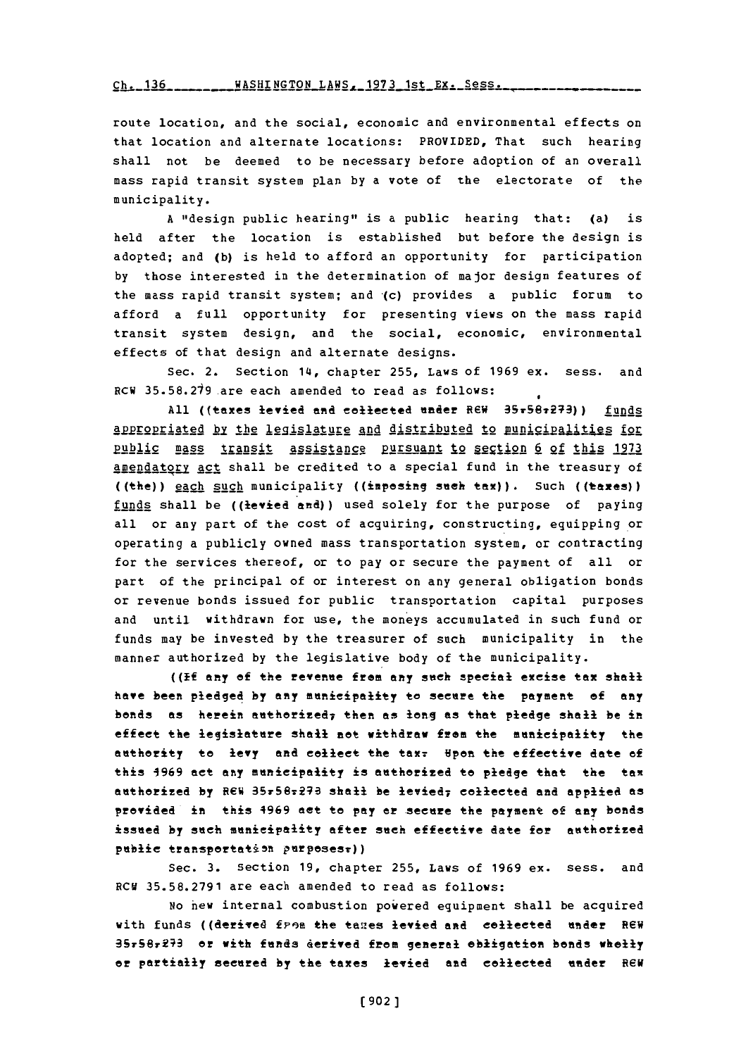$\frac{136}{136}$  ------- WASHINGTON LAWS - 1973 1st Ex. 5

route location, and the social, economic and environmental effects on that location and alternate locations: PROVIDED, That such hearing shall not be deemed to be necessary before adoption of an overall mass rapid transit system plan **by** a vote of the electorate of the municipality.

**A** "design public hearing" is a public hearing that: (a) is held after the location is established but before the design is adopted; and **(b)** is held to afford an opportunity for participation **by** those interested in the determination of major design features of the mass rapid transit system; and (c) provides a public forum to afford a full opportunity for presenting views on the mass rapid transit system design, and the social, economic, environmental effects of that design and alternate designs.

Sec. 2. Section 14, chapter **255,** Laws of **1969** ex. sess. and RCW 35.58.219.are each amended to read as follows:

All ((taxes levied and collected under REW 35r58r273)) funds appropriated by the legislature and distributed to municipalities for pub1lic mass transit assistance pursuant 12 seQ:tion **6** of this **1973** amendatory act shall be credited to a special fund in the treasury of ((the) **) IAch 211\_h** municipality **(** (imposing **sueh** tax). Such **(** (taxes)) funds shall be ((levied and)) used solely for the purpose of paying all or any part of the cost of acquiring, constructing, equipping or operating a publicly owned mass transportation system, or contracting for the services thereof, or to pay or secure the payment of all or part of the principal of or interest on any general obligation bonds or revenue bonds issued for public transportation capital purposes and until withdrawn for use, the moneys accumulated in such fund or funds may be invested **by** the treasurer of such municipality in the manner authorized **by** the legislative body of the municipality.

**((If** any of the revenue from any sueh special excise tax shall have been pledged **by** any municipality to secure the payment **of** any bonds as herein authorized; then as **long** as that pledge shall be in effect the legislature shall not withdraw from the mnicipality the authority to levy and collect the tax. **Hpon the effective date of** this **4969** act any municipality is authorized to pledge that the tax authorized by REW 35x56x273 shall be levied<sub>7</sub> collected and applied as provided in this 4969 act to *pay* or secure the payment **of** any bonds issued **by** such municipality after sueh effective date for authorized public transportation purposes:))

Sec. **3.** Section **19,** chapter **255,** Laws of **1969** ex. sess. and RCV **35.58.2791** are each amended to read as follows:

**No** hew internal combustion powered equipment shall be acquired with funds ((derived from the taxes levied and collected under REW 35r58r273 or with funds derived from general obligation bonds wholly or partially secured **by** the taxes levied and collected under REN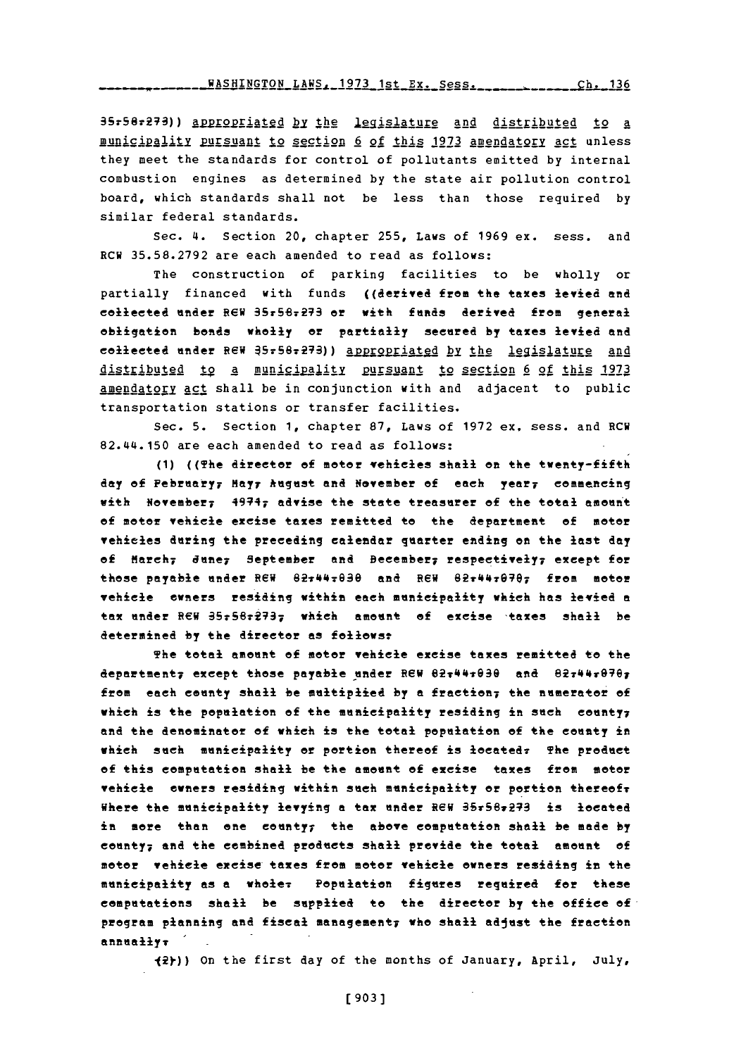**WASHINGTON LAWS, 1973 1st Ex. Sess.** Ch. 136

35r587279)) A21925212 **by** hth gislature and distributed to a municipality pursuant to section 6 of this 1973 amendatory act unless they meet the standards for control of pollutants emitted **by** internal combustion engines as determined **by** the state air pollution control board, which standards shall not be less than those required **by** similar federal standards.

Sec. 4. Section 20, chapter **255,** Laws of **1969** ex. sess. and RCW **35.58.2792** are each amended to read as follows:

The construction of parking facilities to be wholly or partially financed with funds ((derived from the taxes levied and eollected under R6W 35r58r27 er **with** funds derived from general obligation bonds wholly or partially seered **by** taxes levied and collected under REW J5r58:29)) aBRE92riated by **the** legislature and tr ibuted **1d 9 A** amunic iplity **Rr§suant** to sgtion **6** of this **<sup>1973</sup>** amendatory **Agg** shall be in conjunction with and adjacent to public transportation stations or transfer facilities.

Sec. **5.** Section **1,** chapter **87,** Laws of **1972** ex. sess. and RCW 82.44.150 are each amended to read as follows:

**(1)** ((The director **of** meter vehicles shall on the twenty-fifth **day of** February, **Mayy** *hugust* and November **of** each yeary eommencing with November; 4994; advise the state treasurer **of** the total ameunt **of** meter vehicle excise taxes remitted to the department of motor vehieles during the preceding calendar quarter ending **on** the last day of March; dune; September and Beembery respectively; except for these payable under REW Si44793e and REW *82r4479707* from meoer vehicle ewners residing within each municipality which has levied a tax under REW 35r58r273<sub>7</sub> which amount of excise taxes shall be determined **by** the director **as** fellows

The total amount **of** meter vehicle exeise taxes remitted to the departmenty except those payable under REW 02:44:030 and 02:44:070; from each county shall be muitiplied **by a** freetion; the numerator **of** which is the population of the municipality residing in such county; **and** the denominator **of** which is the total population **of** the eeuty in which such municipality or portion thereof is loeatedr The product of this computation shall be the amount **of** exeise taxes from seter vehicle owners residing within such municipality or portion thereof Where the municipality levying a tax under REW 35x56x273 is located in mere than one eounty; the above computation shall be made **by** county; and the combined products shall provide the total ament **of** motor vehicle excise taxes from motor vehicle owners residing in the municipality as a wholer Pepulation figures required for these computations shall be supplied to the direetor **by** the office of program planning and fiseal managementy who shall adjust the fraction annuallyr

**12y))** On the first day of the months of January, April, July,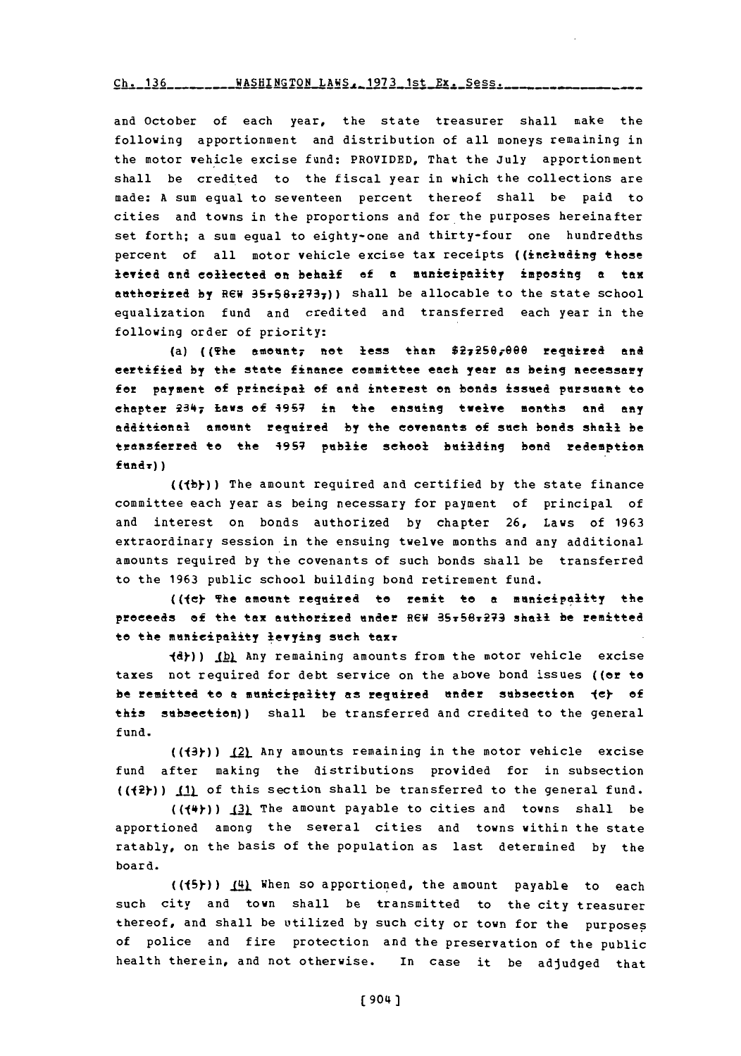## Ch. 136WASHINGTON **LAWS-1973** 1st Ex. Sess. **Ch. 136**

and October of each year, the state treasurer shall make the following apportionment and distribution of all moneys remaining in the motor vehicle excise fund: PROVIDED, That the July apportionment shall be credited to the fiscal year in which the collections are made: **A** sum equal to seventeen percent thereof shall be paid to cities and towns in the proportions and for the purposes hereinafter set forth; a sum equal to eighty-one and thirty-four one hundredths percent of all motor vehicle excise tax receipts ((including these levied and collected an behalf of a menieipality imposing **a** tax authorized by REW 35r58r2737)) shall be allocable to the state school equalization fund and credited and transferred each year in the following order of priority:

(a) ((The amount, not less than  $$2,250,000$  required and certified **by** the state finance committee each year es being aecesery for payment of principal of and interest on bonds issued pursuant to chapter 1347 **Laws** of **49S7** in the ensuing **twelve months and any** edditional amount regeired **by** the covenants **of** such bonds shall be transferred to the **495;** publ.ic school buiding **hend** redemption **fundv))**

**((jh)-))** The amount required and certified **by** the state finance committee each year as being necessary for payment of principal of and interest on bonds authorized **by** chapter **26,** Laws of **1963** extraordinary session in the ensuing twelve months and any additional amounts required **by** the covenants of such bonds shall be transferred to the **1963** public school building bond retirement fund.

((le) The amount reguired to remit to **a** munieipeility the proceeds **of** the tax authorized under REW 85r6vE3 **shall he remitted** to the municipality levying such taxr

**(d)) (b)** Any remaining amounts from the motor vehicle excise taxes not required for debt service on the above bond issues ((or to **he** remitted to **a** municipality **as** required under subsection **ley of** this suhsection)) shall be transferred and credited to the general fund.

((43))  $12$  Any amounts remaining in the motor vehicle excise fund after making the distributions provided for in subsection **\_(p)) 1\_j** of this section shall be transferred to the general fund.

 $((\{\dagger +\}) \ \{2\})$  The amount payable to cities and towns shall be apportioned among the several cities and towns within the state ratably, on the basis of the population as last determined **by** the board.

**((15).))** 41. When so apportioned, the amount payable to each such city and town shall be transmitted to the city treasurer thereof, and shall be utilized **by** such city or town for the purposes of police and fire protection and the preservation of the public health therein, and not otherwise. In case it be adjudged that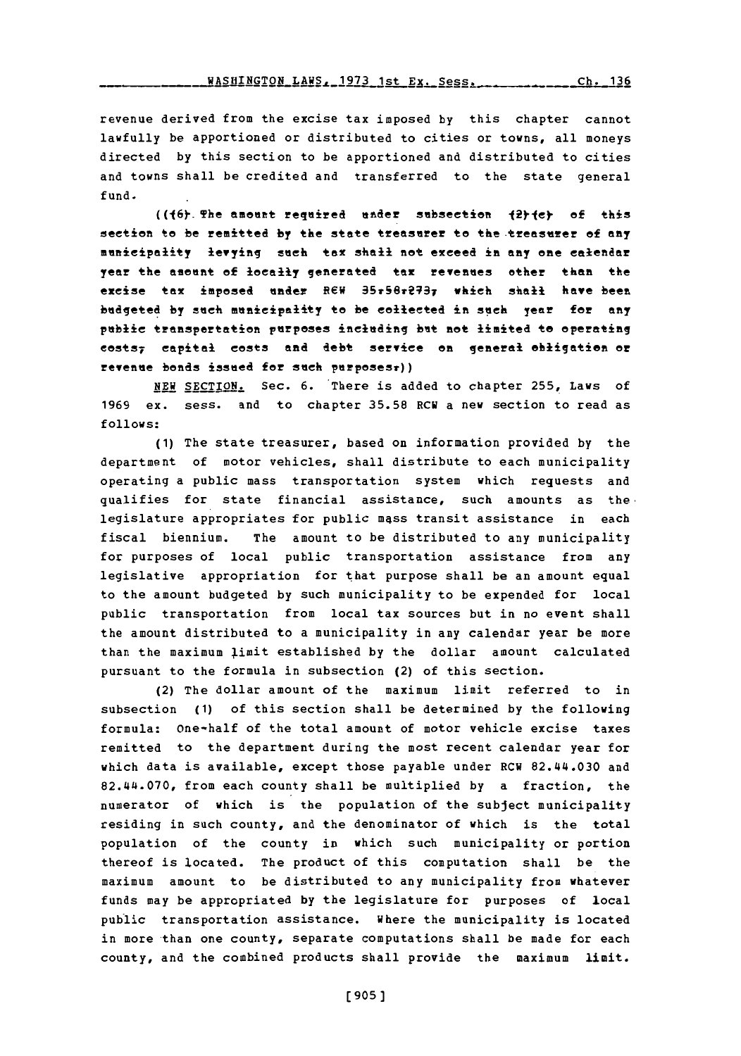revenue derived from the excise tax imposed **by** this chapter cannot lawfully be apportioned or distributed to cities or towns, all moneys directed **by** this section to be apportioned and distributed to cities and towns shall be credited and transferred to the state general fund.

((f6) The amount required under subsection  $\{2\}$ *fe*} of *this* section to be remitted **by** the state treaserer to the treasurer of **any** municipality levying such tax shall not exceed in any one calendar year the asount of locally generated tax **revenues** ether than the excise tax imposed under REW 3SS6T~q37 **which shall have been** budgeted **by** such municipality to be collected in such year for any public transportation purposes inclading but not limited to operating costs; capital costs and debt service **en** general obligation or revenue bonds issued for such purposes:))

**NEW** SECTION. Sec. **6.** There is added to chapter **255,** Laws of **1969** ex. sess. and to chapter **35.58** RCW a new section to read as **follows:**

**(1)** The state treasurer, based on information provided **by** the department of motor vehicles, shall distribute to each municipality operating a public mass transportation system which requests and qualifies for state financial assistance, such amounts as the. legislature appropriates for public mess transit assistance in each fiscal biennium. The amount to be distributed to any municipality for purposes of local public transportation assistance from any legislative appropriation for that purpose shall be an amount equal to the amount budgeted **by** such municipality to be expended for local public transportation from local tax sources but in no event shall the amount distributed to a municipality in any calendar year be more than the maximum limit established by the dollar amount calculated pursuant to the formula in subsection (2) of this section.

(2) The dollar amount of the maximum limit referred to in subsection **(1)** of this section shall be determined **by** the following formula: one-half of the total amount of motor vehicle excise taxes remitted to the department during the most recent calendar year for which data is available, except those payable under RCW 82.44.030 and 82.44.070, from each county shall be multiplied **by** a fraction, the numerator of which is the population of the subject municipality residing in such county, and the denominator of which is the total population of the county in which such municipality or portion thereof is located. The product of this computation shall be the maximum amount to be distributed to any municipality from whatever funds may be appropriated **by** the legislature for purposes of local public transportation assistance. where the municipality is located in more than one county, separate computations shall be made for each county, and the combined products shall provide the maximum limit.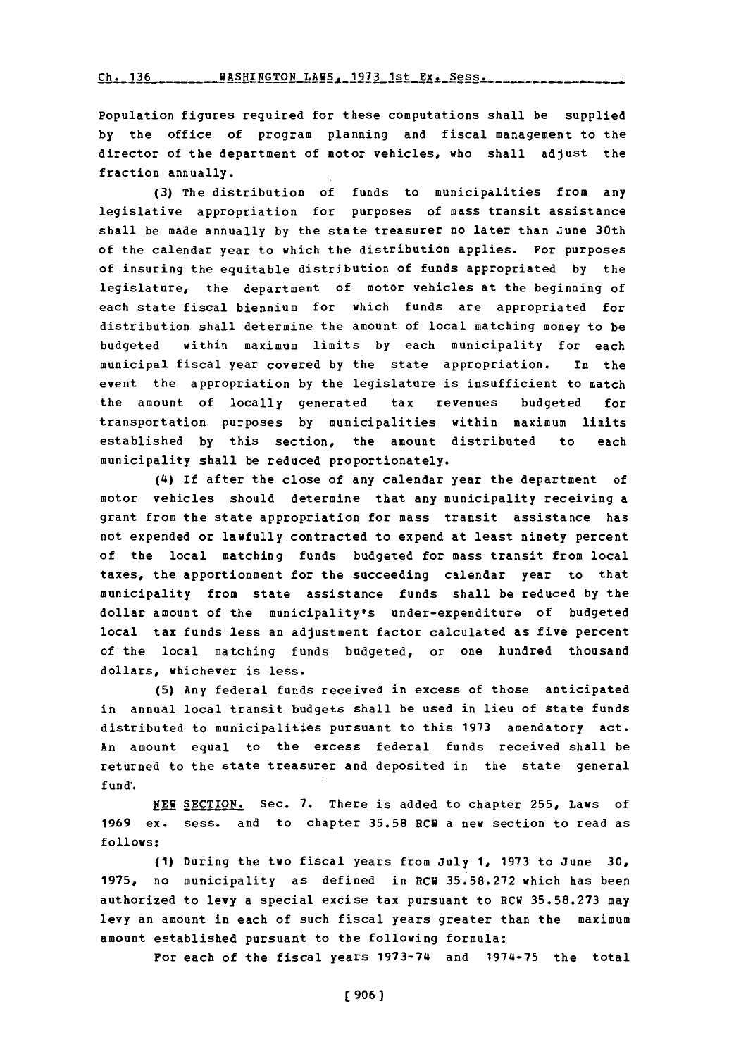Population figures required for these computations shall be supplied **by** the office of program planning and fiscal management to the director of the department of motor vehicles, who shall adjust the fraction annually.

**(3)** The distribution of funds to municipalities from any legislative appropriation for purposes of mass transit assistance shall be made annually **by** the state treasurer no later than June 30th of the calendar year to which the distribution applies. For purposes of insuring the equitable distribution of funds appropriated **by** the legislature, the department of motor vehicles at the beginning of each state fiscal biennium for which funds are appropriated for distribution shall determine the amount of local matching money to be budgeted within maximum limits **by** each municipality for each municipal fiscal year covered **by** the state appropriation. In the event the appropriation **by** the legislature is insufficient to match the amount of locally generated tax revenues budgeted for transportation purposes **by** municipalities within maximum limits established **by** this section, the amount distributed to each municipality shall be reduced proportionately.

(4) **If** after the close of any calendar year the department of motor vehicles should determine that any municipality receiving a grant from the state appropriation for mass transit assistance has not expended or lawfully contracted to expend at least ninety percent of the local matching funds budgeted for mass transit from local taxes, the apportionment for the succeeding calendar year to that municipality from state assistance funds shall be reduced **by** the dollar amount of the municipality's under-expenditure of budgeted local tax funds less an adjustment factor calculated as five percent of the local matching funds budgeted, or one hundred thousand dollars, whichever is less.

**(5)** Any federal funds received in excess of those anticipated in annual local transit budgets shall be used in lieu of state funds distributed to municipaliti~es pursuant to this **1973** amendatory act. An amount egual to the excess federal funds received shall be returned to the state treasurer and deposited in the state general fund'.

NEW SECTION. Sec. 7. There is added to chapter 255, Laws of **<sup>1969</sup>**ex. sess. and to chapter **35.58** RCW a new section to read as **follows:**

**(1)** During the two fiscal years from July **1, 1973** to June **30, 1975,** no municipality as defined in ECW **35.58.272** which has been authorized to levy a special excise tax pursuant to RCW **35.58.273** may levy an amount in each of such fiscal years greater than the maximum amount established pursuant to the following formula:

For each of the fiscal years **1973-74** and **1974-75** the total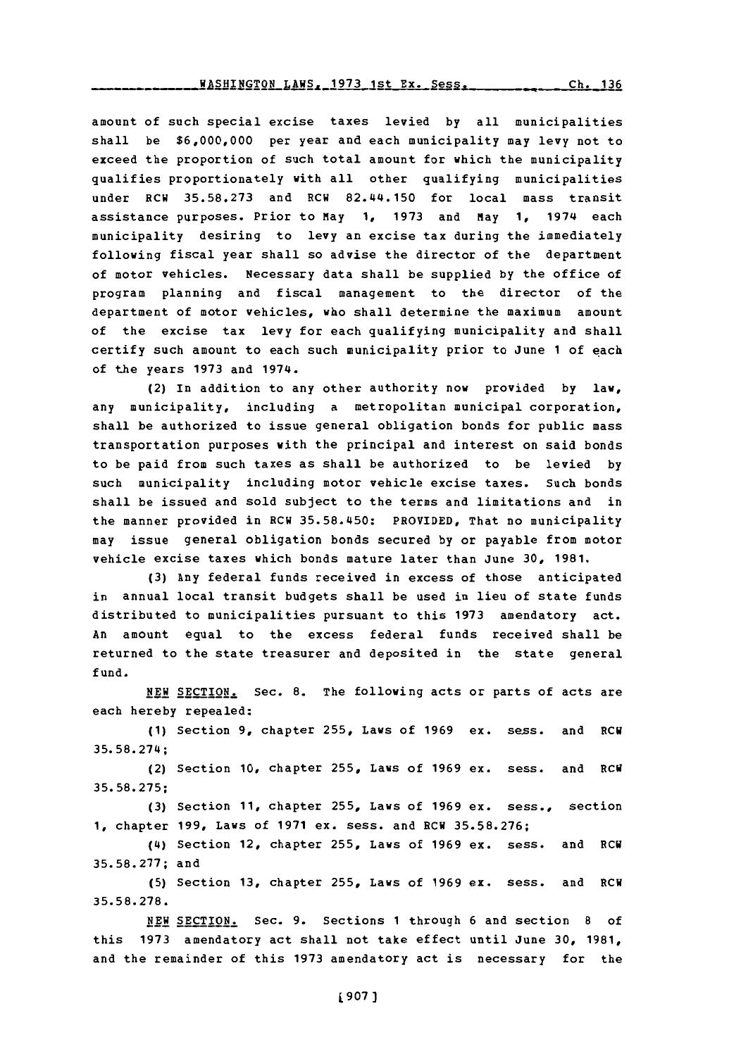## **WASHINGTON LAWS, 1973 1st Ex. Sess.** Ch. 136

amount of such special excise taxes levied **by** all municipalities shall be **\$6,000,000** per year and each municipality may levy not to exceed the proportion of such total amount for which the municipality qualifies proportionately with all other qualifying municipalities under RCW **35.58.273** and RCW 82.44.150 for local mass transit assistance purposes. Prior to May **1, 1973** and May **1,** 1974 each municipality desiring to levy an excise tax during the immediately following fiscal year shall so advise the director of the department of motor vehicles. Necessary data shall be supplied **by** the office of program planning and fiscal management to the director of the department of motor vehicles, who shall determine the maximum amount of the excise tax levy for each qualifying municipality and shall certify such amount to each such municipality prior to June **1** of each of the years **1973** and 1974.

(2) In addition to any other authority now provided **by** law, any municipality, including a metropolitan municipal corporation, shall be authorized to issue general obligation bonds for public mass transportation purposes with the principal and interest on said bonds to be paid from such taxes as shall be authorized to be levied **by** such municipality including motor vehicle excise taxes. Such bonds shall be issued and sold subject to the terms and limitations and in the manner provided in RCW **35.58.450:** PROVIDED, That no municipality may issue general obligation bonds secured **by** or payable from motor vehicle excise taxes which bonds mature later than June **30, 1981.**

**(3)** Any federal funds received in excess of those anticipated in annual local transit budgets shall be used in lieu of state funds distributed to municipalities pursuant to this **1973** amendatory act. An amount equal to the excess federal funds received shall be returned to the state treasurer and deposited in the state general fund.

NEW SECTION. Sec. 8. The following acts or parts of acts are each hereby repealed:

**(1)** Section **9,** chapter **255,** Laws of **1969** ex. sess. and RCW **35.58.274;**

(2) Section **10,** chapter **255,** Laws of **1969** ex. sess. and RCW **35. 58. 275;**

**(3)** Section **11,** chapter **255,** Laws of **1969** ex. sess., section **1,** chapter **199,** Laws of **1971** ex. sess. and RCW **35.58. 276;**

(4) Section 12, chapter **255,** Laws of **1969** ex. sess. and RCV **35.58.277;** and

**(5)** Section **13,** chapter **255,** Laws of **1969 ex.** sess. and RCW **35. 58.278.**

**NEW** SECTION. Sec. **9.** Sections **1** through **6** and section **8** of this **1973** amendatory act shall not take effect until June **30, 1981,** and the remainder of this **1973** amendatory act is necessary for the